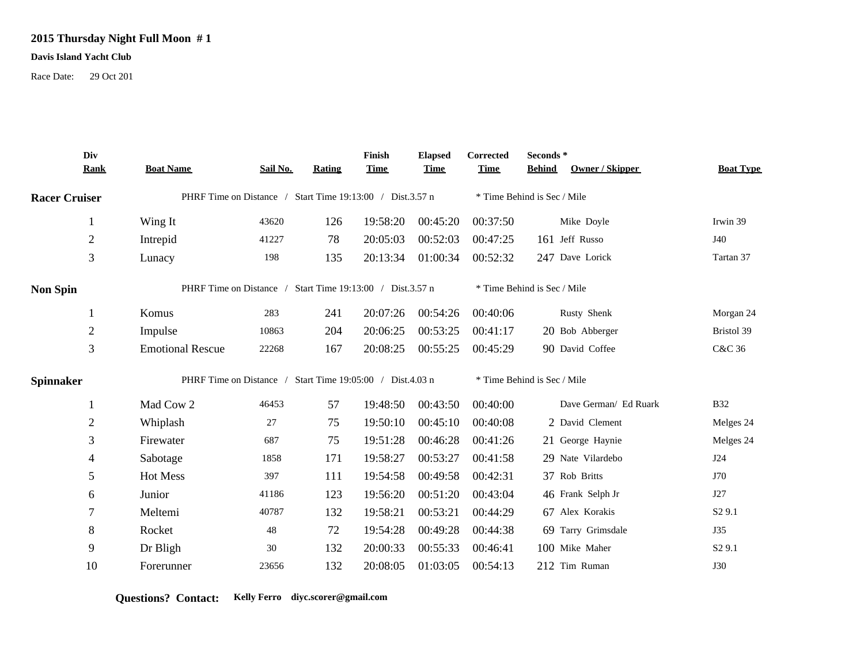## **2015 Thursday Night Full Moon # 1**

## **Davis Island Yacht Club**

Race Date: 29 Oct 201

|                      | Div<br><b>Rank</b> | <b>Boat Name</b>                                          | Sail No. | <b>Rating</b> | Finish<br><b>Time</b> | <b>Elapsed</b><br><b>Time</b> | Corrected<br><b>Time</b>    | Seconds*<br>Owner / Skipper<br><b>Behind</b> | <b>Boat Type</b>   |
|----------------------|--------------------|-----------------------------------------------------------|----------|---------------|-----------------------|-------------------------------|-----------------------------|----------------------------------------------|--------------------|
| <b>Racer Cruiser</b> |                    | PHRF Time on Distance / Start Time 19:13:00 / Dist.3.57 n |          |               |                       |                               | * Time Behind is Sec / Mile |                                              |                    |
|                      |                    | Wing It                                                   | 43620    | 126           | 19:58:20              | 00:45:20                      | 00:37:50                    | Mike Doyle                                   | Irwin 39           |
|                      | $\overline{2}$     | Intrepid                                                  | 41227    | 78            | 20:05:03              | 00:52:03                      | 00:47:25                    | 161 Jeff Russo                               | J40                |
|                      | 3                  | Lunacy                                                    | 198      | 135           | 20:13:34              | 01:00:34                      | 00:52:32                    | 247 Dave Lorick                              | Tartan 37          |
| <b>Non Spin</b>      |                    | PHRF Time on Distance / Start Time 19:13:00 / Dist.3.57 n |          |               |                       |                               | * Time Behind is Sec / Mile |                                              |                    |
|                      |                    | Komus                                                     | 283      | 241           | 20:07:26              | 00:54:26                      | 00:40:06                    | Rusty Shenk                                  | Morgan 24          |
|                      | $\mathfrak{2}$     | Impulse                                                   | 10863    | 204           | 20:06:25              | 00:53:25                      | 00:41:17                    | 20 Bob Abberger                              | Bristol 39         |
|                      | 3                  | <b>Emotional Rescue</b>                                   | 22268    | 167           | 20:08:25              | 00:55:25                      | 00:45:29                    | 90 David Coffee                              | C&C 36             |
| <b>Spinnaker</b>     |                    | PHRF Time on Distance / Start Time 19:05:00 / Dist.4.03 n |          |               |                       |                               | * Time Behind is Sec / Mile |                                              |                    |
|                      |                    | Mad Cow 2                                                 | 46453    | 57            | 19:48:50              | 00:43:50                      | 00:40:00                    | Dave German/ Ed Ruark                        | <b>B32</b>         |
|                      | $\overline{2}$     | Whiplash                                                  | $27\,$   | 75            | 19:50:10              | 00:45:10                      | 00:40:08                    | 2 David Clement                              | Melges 24          |
|                      | 3                  | Firewater                                                 | 687      | 75            | 19:51:28              | 00:46:28                      | 00:41:26                    | 21 George Haynie                             | Melges 24          |
|                      | 4                  | Sabotage                                                  | 1858     | 171           | 19:58:27              | 00:53:27                      | 00:41:58                    | 29 Nate Vilardebo                            | <b>J24</b>         |
|                      | 5                  | Hot Mess                                                  | 397      | 111           | 19:54:58              | 00:49:58                      | 00:42:31                    | 37 Rob Britts                                | J70                |
|                      | 6                  | Junior                                                    | 41186    | 123           | 19:56:20              | 00:51:20                      | 00:43:04                    | 46 Frank Selph Jr                            | J27                |
|                      | $\overline{7}$     | Meltemi                                                   | 40787    | 132           | 19:58:21              | 00:53:21                      | 00:44:29                    | 67 Alex Korakis                              | S <sub>2</sub> 9.1 |
|                      | 8                  | Rocket                                                    | 48       | 72            | 19:54:28              | 00:49:28                      | 00:44:38                    | 69 Tarry Grimsdale                           | J35                |
|                      | 9                  | Dr Bligh                                                  | 30       | 132           | 20:00:33              | 00:55:33                      | 00:46:41                    | 100 Mike Maher                               | S <sub>2</sub> 9.1 |
|                      | 10                 | Forerunner                                                | 23656    | 132           | 20:08:05              | 01:03:05                      | 00:54:13                    | 212 Tim Ruman                                | <b>J30</b>         |

**Questions? Contact: Kelly Ferro diyc.scorer@gmail.com**